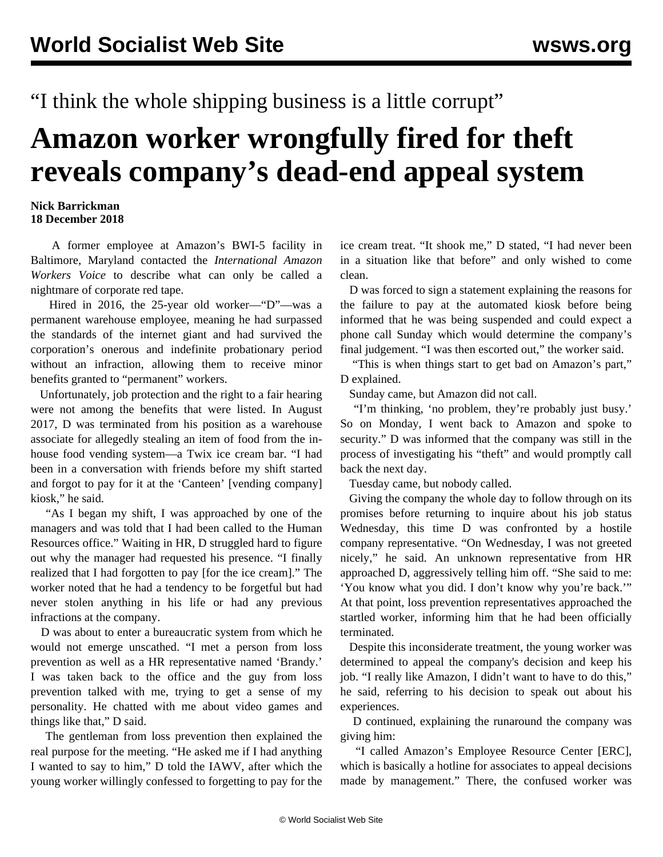"I think the whole shipping business is a little corrupt"

## **Amazon worker wrongfully fired for theft reveals company's dead-end appeal system**

## **Nick Barrickman 18 December 2018**

 A former employee at Amazon's BWI-5 facility in Baltimore, Maryland contacted the *International Amazon Workers Voice* to describe what can only be called a nightmare of corporate red tape.

 Hired in 2016, the 25-year old worker—"D"—was a permanent warehouse employee, meaning he had surpassed the standards of the internet giant and had survived the corporation's onerous and [indefinite](/en/articles/2017/07/08/amaz-j08.html) probationary period without an infraction, allowing them to receive minor benefits granted to "permanent" workers.

 Unfortunately, job protection and the right to a fair hearing were not among the benefits that were listed. In August 2017, D was terminated from his position as a warehouse associate for allegedly stealing an item of food from the inhouse food vending system—a Twix ice cream bar. "I had been in a conversation with friends before my shift started and forgot to pay for it at the 'Canteen' [vending company] kiosk," he said.

 "As I began my shift, I was approached by one of the managers and was told that I had been called to the Human Resources office." Waiting in HR, D struggled hard to figure out why the manager had requested his presence. "I finally realized that I had forgotten to pay [for the ice cream]." The worker noted that he had a tendency to be forgetful but had never stolen anything in his life or had any previous infractions at the company.

 D was about to enter a bureaucratic system from which he would not emerge unscathed. "I met a person from loss prevention as well as a HR representative named 'Brandy.' I was taken back to the office and the guy from loss prevention talked with me, trying to get a sense of my personality. He chatted with me about video games and things like that," D said.

 The gentleman from loss prevention then explained the real purpose for the meeting. "He asked me if I had anything I wanted to say to him," D told the IAWV, after which the young worker willingly confessed to forgetting to pay for the ice cream treat. "It shook me," D stated, "I had never been in a situation like that before" and only wished to come clean.

 D was forced to sign a statement explaining the reasons for the failure to pay at the automated kiosk before being informed that he was being suspended and could expect a phone call Sunday which would determine the company's final judgement. "I was then escorted out," the worker said.

 "This is when things start to get bad on Amazon's part," D explained.

Sunday came, but Amazon did not call.

 "I'm thinking, 'no problem, they're probably just busy.' So on Monday, I went back to Amazon and spoke to security." D was informed that the company was still in the process of investigating his "theft" and would promptly call back the next day.

Tuesday came, but nobody called.

 Giving the company the whole day to follow through on its promises before returning to inquire about his job status Wednesday, this time D was confronted by a hostile company representative. "On Wednesday, I was not greeted nicely," he said. An unknown representative from HR approached D, aggressively telling him off. "She said to me: 'You know what you did. I don't know why you're back.'" At that point, loss prevention representatives approached the startled worker, informing him that he had been officially terminated.

 Despite this inconsiderate treatment, the young worker was determined to appeal the company's decision and keep his job. "I really like Amazon, I didn't want to have to do this," he said, referring to his decision to speak out about his experiences.

 D continued, explaining the runaround the company was giving him:

 "I called Amazon's Employee Resource Center [ERC], which is basically a hotline for associates to appeal decisions made by management." There, the confused worker was